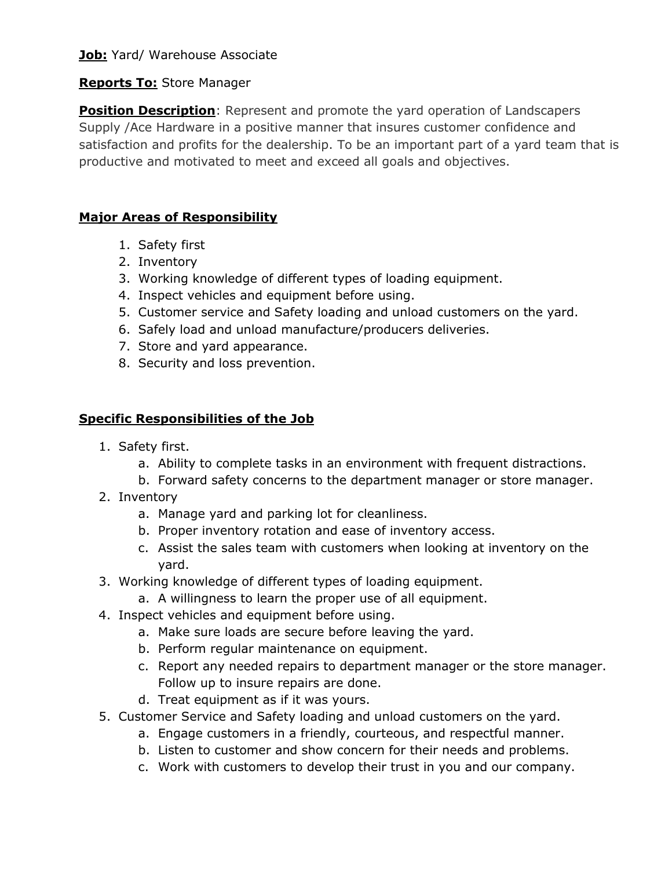## **Job:** Yard/ Warehouse Associate

#### **Reports To:** Store Manager

**Position Description**: Represent and promote the yard operation of Landscapers Supply /Ace Hardware in a positive manner that insures customer confidence and satisfaction and profits for the dealership. To be an important part of a yard team that is productive and motivated to meet and exceed all goals and objectives.

# **Major Areas of Responsibility**

- 1. Safety first
- 2. Inventory
- 3. Working knowledge of different types of loading equipment.
- 4. Inspect vehicles and equipment before using.
- 5. Customer service and Safety loading and unload customers on the yard.
- 6. Safely load and unload manufacture/producers deliveries.
- 7. Store and yard appearance.
- 8. Security and loss prevention.

#### **Specific Responsibilities of the Job**

- 1. Safety first.
	- a. Ability to complete tasks in an environment with frequent distractions.
	- b. Forward safety concerns to the department manager or store manager.
- 2. Inventory
	- a. Manage yard and parking lot for cleanliness.
	- b. Proper inventory rotation and ease of inventory access.
	- c. Assist the sales team with customers when looking at inventory on the yard.
- 3. Working knowledge of different types of loading equipment.
	- a. A willingness to learn the proper use of all equipment.
- 4. Inspect vehicles and equipment before using.
	- a. Make sure loads are secure before leaving the yard.
	- b. Perform regular maintenance on equipment.
	- c. Report any needed repairs to department manager or the store manager. Follow up to insure repairs are done.
	- d. Treat equipment as if it was yours.
- 5. Customer Service and Safety loading and unload customers on the yard.
	- a. Engage customers in a friendly, courteous, and respectful manner.
	- b. Listen to customer and show concern for their needs and problems.
	- c. Work with customers to develop their trust in you and our company.